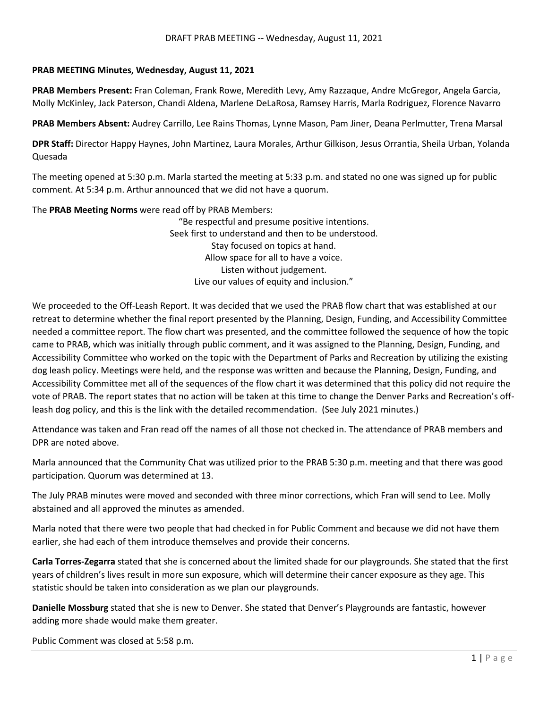## **PRAB MEETING Minutes, Wednesday, August 11, 2021**

**PRAB Members Present:** Fran Coleman, Frank Rowe, Meredith Levy, Amy Razzaque, Andre McGregor, Angela Garcia, Molly McKinley, Jack Paterson, Chandi Aldena, Marlene DeLaRosa, Ramsey Harris, Marla Rodriguez, Florence Navarro

**PRAB Members Absent:** Audrey Carrillo, Lee Rains Thomas, Lynne Mason, Pam Jiner, Deana Perlmutter, Trena Marsal

**DPR Staff:** Director Happy Haynes, John Martinez, Laura Morales, Arthur Gilkison, Jesus Orrantia, Sheila Urban, Yolanda Quesada

The meeting opened at 5:30 p.m. Marla started the meeting at 5:33 p.m. and stated no one was signed up for public comment. At 5:34 p.m. Arthur announced that we did not have a quorum.

The **PRAB Meeting Norms** were read off by PRAB Members:

"Be respectful and presume positive intentions. Seek first to understand and then to be understood. Stay focused on topics at hand. Allow space for all to have a voice. Listen without judgement. Live our values of equity and inclusion."

We proceeded to the Off-Leash Report. It was decided that we used the PRAB flow chart that was established at our retreat to determine whether the final report presented by the Planning, Design, Funding, and Accessibility Committee needed a committee report. The flow chart was presented, and the committee followed the sequence of how the topic came to PRAB, which was initially through public comment, and it was assigned to the Planning, Design, Funding, and Accessibility Committee who worked on the topic with the Department of Parks and Recreation by utilizing the existing dog leash policy. Meetings were held, and the response was written and because the Planning, Design, Funding, and Accessibility Committee met all of the sequences of the flow chart it was determined that this policy did not require the vote of PRAB. The report states that no action will be taken at this time to change the Denver Parks and Recreation's offleash dog policy, and this is the link with the detailed recommendation. (See July 2021 minutes.)

Attendance was taken and Fran read off the names of all those not checked in. The attendance of PRAB members and DPR are noted above.

Marla announced that the Community Chat was utilized prior to the PRAB 5:30 p.m. meeting and that there was good participation. Quorum was determined at 13.

The July PRAB minutes were moved and seconded with three minor corrections, which Fran will send to Lee. Molly abstained and all approved the minutes as amended.

Marla noted that there were two people that had checked in for Public Comment and because we did not have them earlier, she had each of them introduce themselves and provide their concerns.

**Carla Torres-Zegarra** stated that she is concerned about the limited shade for our playgrounds. She stated that the first years of children's lives result in more sun exposure, which will determine their cancer exposure as they age. This statistic should be taken into consideration as we plan our playgrounds.

**Danielle Mossburg** stated that she is new to Denver. She stated that Denver's Playgrounds are fantastic, however adding more shade would make them greater.

Public Comment was closed at 5:58 p.m.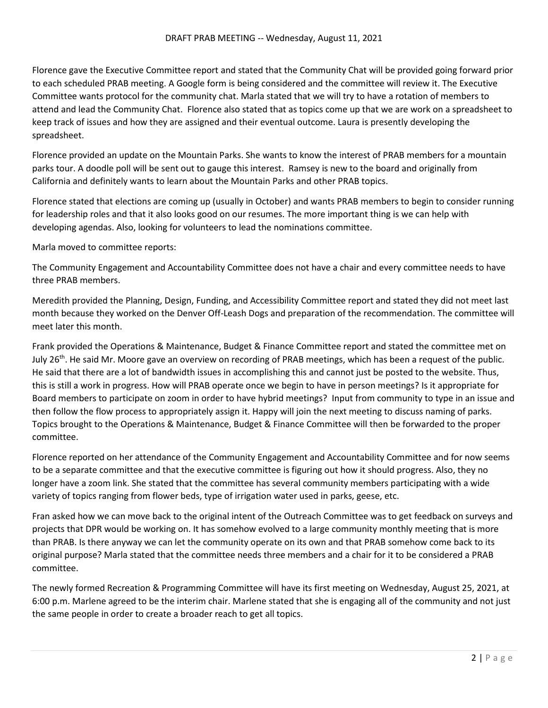Florence gave the Executive Committee report and stated that the Community Chat will be provided going forward prior to each scheduled PRAB meeting. A Google form is being considered and the committee will review it. The Executive Committee wants protocol for the community chat. Marla stated that we will try to have a rotation of members to attend and lead the Community Chat. Florence also stated that as topics come up that we are work on a spreadsheet to keep track of issues and how they are assigned and their eventual outcome. Laura is presently developing the spreadsheet.

Florence provided an update on the Mountain Parks. She wants to know the interest of PRAB members for a mountain parks tour. A doodle poll will be sent out to gauge this interest. Ramsey is new to the board and originally from California and definitely wants to learn about the Mountain Parks and other PRAB topics.

Florence stated that elections are coming up (usually in October) and wants PRAB members to begin to consider running for leadership roles and that it also looks good on our resumes. The more important thing is we can help with developing agendas. Also, looking for volunteers to lead the nominations committee.

Marla moved to committee reports:

The Community Engagement and Accountability Committee does not have a chair and every committee needs to have three PRAB members.

Meredith provided the Planning, Design, Funding, and Accessibility Committee report and stated they did not meet last month because they worked on the Denver Off-Leash Dogs and preparation of the recommendation. The committee will meet later this month.

Frank provided the Operations & Maintenance, Budget & Finance Committee report and stated the committee met on July 26<sup>th</sup>. He said Mr. Moore gave an overview on recording of PRAB meetings, which has been a request of the public. He said that there are a lot of bandwidth issues in accomplishing this and cannot just be posted to the website. Thus, this is still a work in progress. How will PRAB operate once we begin to have in person meetings? Is it appropriate for Board members to participate on zoom in order to have hybrid meetings? Input from community to type in an issue and then follow the flow process to appropriately assign it. Happy will join the next meeting to discuss naming of parks. Topics brought to the Operations & Maintenance, Budget & Finance Committee will then be forwarded to the proper committee.

Florence reported on her attendance of the Community Engagement and Accountability Committee and for now seems to be a separate committee and that the executive committee is figuring out how it should progress. Also, they no longer have a zoom link. She stated that the committee has several community members participating with a wide variety of topics ranging from flower beds, type of irrigation water used in parks, geese, etc.

Fran asked how we can move back to the original intent of the Outreach Committee was to get feedback on surveys and projects that DPR would be working on. It has somehow evolved to a large community monthly meeting that is more than PRAB. Is there anyway we can let the community operate on its own and that PRAB somehow come back to its original purpose? Marla stated that the committee needs three members and a chair for it to be considered a PRAB committee.

The newly formed Recreation & Programming Committee will have its first meeting on Wednesday, August 25, 2021, at 6:00 p.m. Marlene agreed to be the interim chair. Marlene stated that she is engaging all of the community and not just the same people in order to create a broader reach to get all topics.